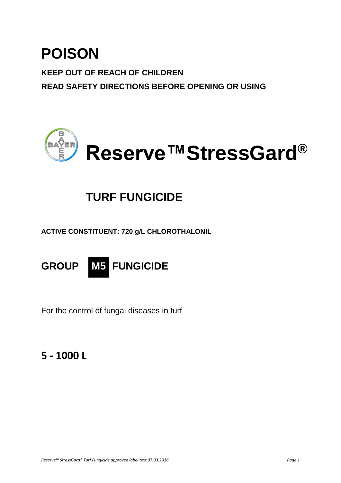# **POISON**

**KEEP OUT OF REACH OF CHILDREN READ SAFETY DIRECTIONS BEFORE OPENING OR USING**



# **TURF FUNGICIDE**

**ACTIVE CONSTITUENT: 720 g/L CHLOROTHALONIL**

**GROUP M5 FUNGICIDE**

For the control of fungal diseases in turf

## **5 - 1000 L**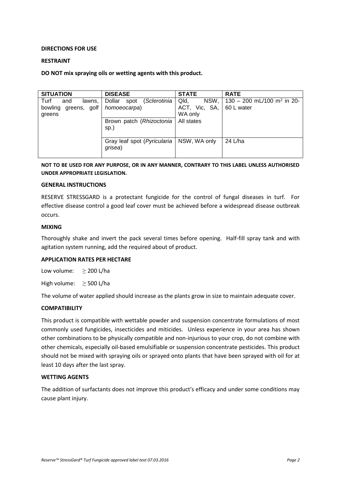#### **DIRECTIONS FOR USE**

#### **RESTRAINT**

#### **DO NOT mix spraying oils or wetting agents with this product.**

| <b>SITUATION</b>                                           | <b>DISEASE</b>                                 | <b>STATE</b>                             | <b>RATE</b>                                          |
|------------------------------------------------------------|------------------------------------------------|------------------------------------------|------------------------------------------------------|
| Turf<br>and<br>lawns,<br>bowling<br>greens, golf<br>greens | (Sclerotinia<br>Dollar<br>spot<br>homoeocarpa) | NSW,<br>Qld,<br>ACT, Vic, SA,<br>WA only | 130 - 200 mL/100 m <sup>2</sup> in 20-<br>60 L water |
|                                                            | Brown patch (Rhizoctonia<br>sp.)               | All states                               |                                                      |
|                                                            | Gray leaf spot (Pyricularia<br>grisea)         | NSW, WA only                             | 24 L/ha                                              |

**NOT TO BE USED FOR ANY PURPOSE, OR IN ANY MANNER, CONTRARY TO THIS LABEL UNLESS AUTHORISED UNDER APPROPRIATE LEGISLATION.**

#### **GENERAL INSTRUCTIONS**

RESERVE STRESSGARD is a protectant fungicide for the control of fungal diseases in turf. For effective disease control a good leaf cover must be achieved before a widespread disease outbreak occurs.

#### **MIXING**

Thoroughly shake and invert the pack several times before opening. Half-fill spray tank and with agitation system running, add the required about of product.

#### **APPLICATION RATES PER HECTARE**

Low volume:  $\geq 200$  L/ha

High volume:  $\geq$  500 L/ha

The volume of water applied should increase as the plants grow in size to maintain adequate cover.

#### **COMPATIBILITY**

This product is compatible with wettable powder and suspension concentrate formulations of most commonly used fungicides, insecticides and miticides. Unless experience in your area has shown other combinations to be physically compatible and non-injurious to your crop, do not combine with other chemicals, especially oil-based emulsifiable or suspension concentrate pesticides. This product should not be mixed with spraying oils or sprayed onto plants that have been sprayed with oil for at least 10 days after the last spray.

#### **WETTING AGENTS**

The addition of surfactants does not improve this product's efficacy and under some conditions may cause plant injury.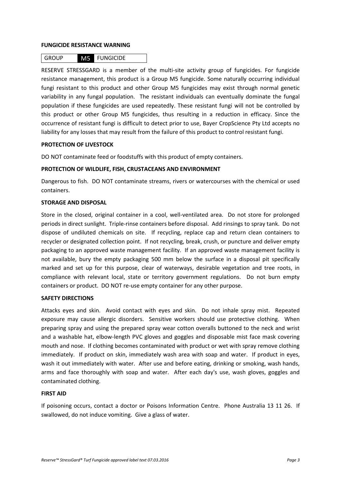#### **FUNGICIDE RESISTANCE WARNING**

### GROUP M5 FUNGICIDE

RESERVE STRESSGARD is a member of the multi-site activity group of fungicides. For fungicide resistance management, this product is a Group M5 fungicide. Some naturally occurring individual fungi resistant to this product and other Group M5 fungicides may exist through normal genetic variability in any fungal population. The resistant individuals can eventually dominate the fungal population if these fungicides are used repeatedly. These resistant fungi will not be controlled by this product or other Group M5 fungicides, thus resulting in a reduction in efficacy. Since the occurrence of resistant fungi is difficult to detect prior to use, Bayer CropScience Pty Ltd accepts no liability for any losses that may result from the failure of this product to control resistant fungi.

#### **PROTECTION OF LIVESTOCK**

DO NOT contaminate feed or foodstuffs with this product of empty containers.

#### **PROTECTION OF WILDLIFE, FISH, CRUSTACEANS AND ENVIRONMENT**

Dangerous to fish. DO NOT contaminate streams, rivers or watercourses with the chemical or used containers.

#### **STORAGE AND DISPOSAL**

Store in the closed, original container in a cool, well-ventilated area. Do not store for prolonged periods in direct sunlight.Triple-rinse containers before disposal. Add rinsings to spray tank. Do not dispose of undiluted chemicals on site. If recycling, replace cap and return clean containers to recycler or designated collection point. If not recycling, break, crush, or puncture and deliver empty packaging to an approved waste management facility. If an approved waste management facility is not available, bury the empty packaging 500 mm below the surface in a disposal pit specifically marked and set up for this purpose, clear of waterways, desirable vegetation and tree roots, in compliance with relevant local, state or territory government regulations. Do not burn empty containers or product. DO NOT re-use empty container for any other purpose.

#### **SAFETY DIRECTIONS**

Attacks eyes and skin. Avoid contact with eyes and skin. Do not inhale spray mist. Repeated exposure may cause allergic disorders. Sensitive workers should use protective clothing. When preparing spray and using the prepared spray wear cotton overalls buttoned to the neck and wrist and a washable hat, elbow-length PVC gloves and goggles and disposable mist face mask covering mouth and nose. If clothing becomes contaminated with product or wet with spray remove clothing immediately. If product on skin, immediately wash area with soap and water. If product in eyes, wash it out immediately with water. After use and before eating, drinking or smoking, wash hands, arms and face thoroughly with soap and water. After each day's use, wash gloves, goggles and contaminated clothing.

#### **FIRST AID**

If poisoning occurs, contact a doctor or Poisons Information Centre. Phone Australia 13 11 26. If swallowed, do not induce vomiting. Give a glass of water.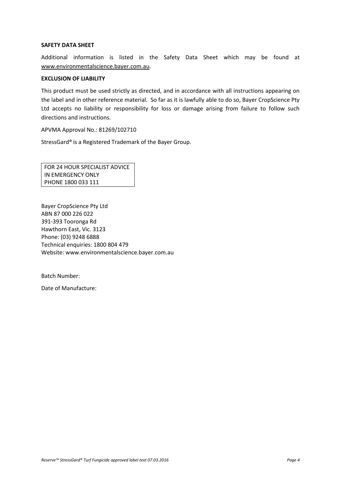#### **SAFETY DATA SHEET**

Additional information is listed in the Safety Data Sheet which may be found at [www.environmentalscience.bayer.com.au.](http://www.environmentalscience.bayer.com.au/)

#### **EXCLUSION OF LIABILITY**

This product must be used strictly as directed, and in accordance with all instructions appearing on the label and in other reference material. So far as it is lawfully able to do so, Bayer CropScience Pty Ltd accepts no liability or responsibility for loss or damage arising from failure to follow such directions and instructions.

APVMA Approval No.: 81269/102710

StressGard® is a Registered Trademark of the Bayer Group.

FOR 24 HOUR SPECIALIST ADVICE IN EMERGENCY ONLY PHONE 1800 033 111

Bayer CropScience Pty Ltd ABN 87 000 226 022 391-393 Tooronga Rd Hawthorn East, Vic. 3123 Phone: (03) 9248 6888 Technical enquiries: 1800 804 479 Website: www.environmentalscience.bayer.com.au

Batch Number:

Date of Manufacture: